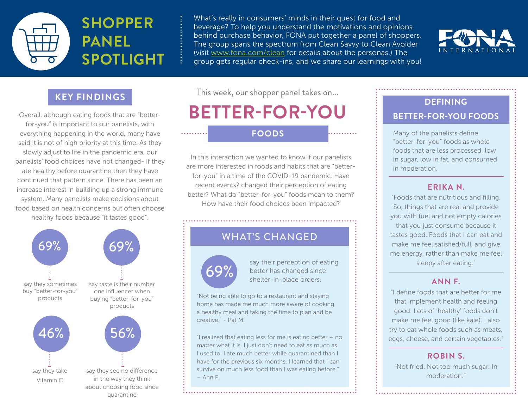

What's really in consumers' minds in their quest for food and beverage? To help you understand the motivations and opinions behind purchase behavior, FONA put together a panel of shoppers. The group spans the spectrum from Clean Savvy to Clean Avoider (visit [www.fona.com/clean](http://www.fona.com/clean) for details about the personas.) The group gets regular check-ins, and we share our learnings with you!



### **KEY FINDINGS**

Overall, although eating foods that are "betterfor-you" is important to our panelists, with everything happening in the world, many have said it is not of high priority at this time. As they slowly adjust to life in the pandemic era, our panelists' food choices have not changed- if they ate healthy before quarantine then they have continued that pattern since. There has been an increase interest in building up a strong immune system. Many panelists make decisions about food based on health concerns but often choose healthy foods because "it tastes good".



This week, our shopper panel takes on...

# **BETTER-FOR-YOU**

In this interaction we wanted to know if our panelists are more interested in foods and habits that are "betterfor-you" in a time of the COVID-19 pandemic. Have recent events? changed their perception of eating better? What do "better-for-you" foods mean to them? How have their food choices been impacted?

### WHAT'S CHANGED



. . . . . . . . . .

say their perception of eating<br>better has changed since<br>shelter-in-place orders better has changed since shelter-in-place orders.

"Not being able to go to a restaurant and staying home has made me much more aware of cooking a healthy meal and taking the time to plan and be creative." - Pat M.

"I realized that eating less for me is eating better – no matter what it is. I just don't need to eat as much as I used to. I ate much better while quarantined than I have for the previous six months. I learned that I can survive on much less food than I was eating before." – Ann F.

### **DEFINING BETTER-FOR-YOU FOODS**

**FOODS** Many of the panelists define "better-for-you" foods as whole foods that are less processed, low in sugar, low in fat, and consumed in moderation.

#### **ERIKA N.**

"Foods that are nutritious and filling. So, things that are real and provide you with fuel and not empty calories that you just consume because it

tastes good. Foods that I can eat and make me feel satisfied/full, and give me energy, rather than make me feel sleepy after eating."

#### **ANN F.**

"I define foods that are better for me that implement health and feeling good. Lots of 'healthy' foods don't make me feel good (like kale). I also try to eat whole foods such as meats, eggs, cheese, and certain vegetables."

#### **ROBIN S.**

"Not fried. Not too much sugar. In moderation."